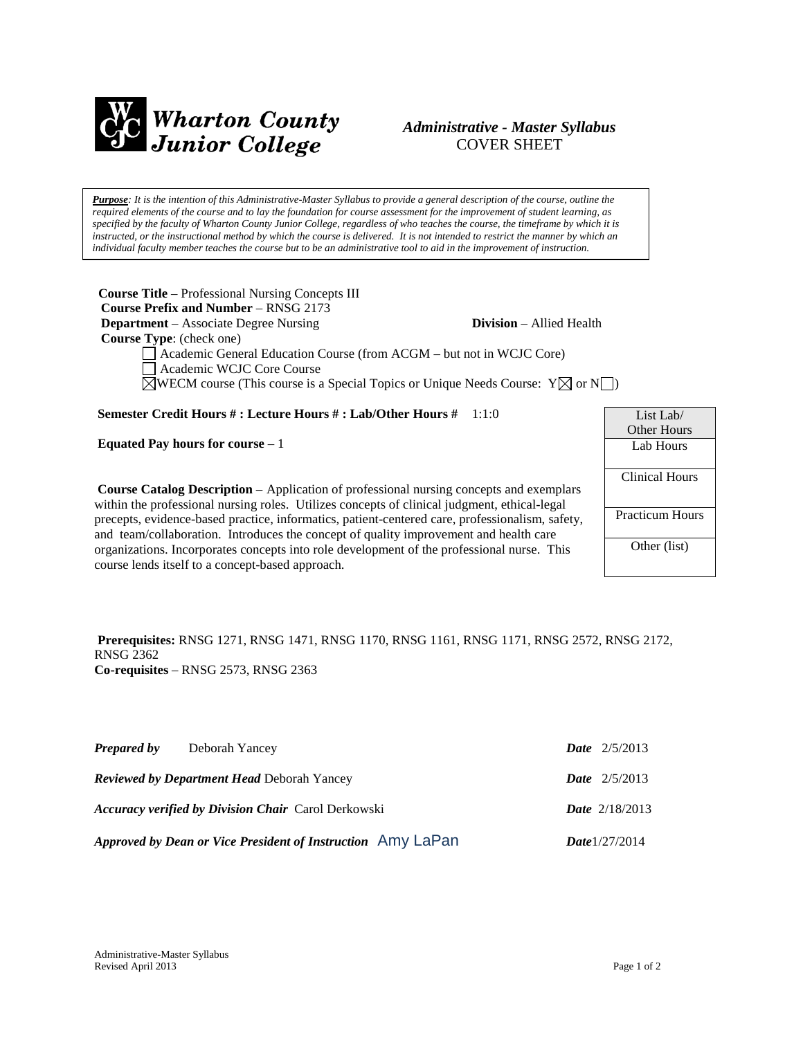

# *Administrative - Master Syllabus*  COVER SHEET

*Purpose: It is the intention of this Administrative-Master Syllabus to provide a general description of the course, outline the required elements of the course and to lay the foundation for course assessment for the improvement of student learning, as specified by the faculty of Wharton County Junior College, regardless of who teaches the course, the timeframe by which it is instructed, or the instructional method by which the course is delivered. It is not intended to restrict the manner by which an individual faculty member teaches the course but to be an administrative tool to aid in the improvement of instruction.*

**Course Title** – Professional Nursing Concepts III  **Course Prefix and Number** – RNSG 2173 **Department** – Associate Degree Nursing **Division** – Allied Health  **Course Type**: (check one) Academic General Education Course (from ACGM – but not in WCJC Core) Academic WCJC Core Course  $\boxtimes$ WECM course (This course is a Special Topics or Unique Needs Course:  $Y \boxtimes$  or N

**Semester Credit Hours # : Lecture Hours # : Lab/Other Hours #** 1:1:0

**Equated Pay hours for course** – 1

**Course Catalog Description** – Application of professional nursing concepts and exemplars within the professional nursing roles. Utilizes concepts of clinical judgment, ethical-legal precepts, evidence-based practice, informatics, patient-centered care, professionalism, safety, and team/collaboration. Introduces the concept of quality improvement and health care organizations. Incorporates concepts into role development of the professional nurse. This course lends itself to a concept-based approach.

| List Lab/              |  |  |  |
|------------------------|--|--|--|
| Other Hours            |  |  |  |
| Lab Hours              |  |  |  |
|                        |  |  |  |
| <b>Clinical Hours</b>  |  |  |  |
|                        |  |  |  |
| <b>Practicum Hours</b> |  |  |  |
|                        |  |  |  |
| Other (list)           |  |  |  |
|                        |  |  |  |
|                        |  |  |  |

#### **Prerequisites:** RNSG 1271, RNSG 1471, RNSG 1170, RNSG 1161, RNSG 1171, RNSG 2572, RNSG 2172, RNSG 2362 **Co-requisites** – RNSG 2573, RNSG 2363

| <b>Prepared by</b> | Deborah Yancey                                              | <b>Date</b> $2/5/2013$  |
|--------------------|-------------------------------------------------------------|-------------------------|
|                    | <b>Reviewed by Department Head Deborah Yancey</b>           | <b>Date</b> $2/5/2013$  |
|                    | <b>Accuracy verified by Division Chair Carol Derkowski</b>  | <b>Date</b> $2/18/2013$ |
|                    | Approved by Dean or Vice President of Instruction Amy LaPan | Date $1/27/2014$        |